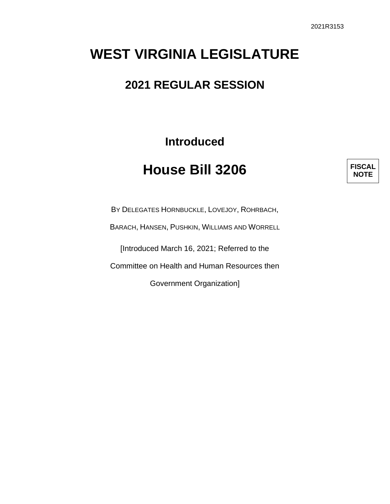## **WEST VIRGINIA LEGISLATURE**

## **2021 REGULAR SESSION**

**Introduced**

## **House Bill 3206**

**FISCAL NOTE**

BY DELEGATES HORNBUCKLE, LOVEJOY, ROHRBACH,

BARACH, HANSEN, PUSHKIN, WILLIAMS AND WORRELL

[Introduced March 16, 2021; Referred to the

Committee on Health and Human Resources then

Government Organization]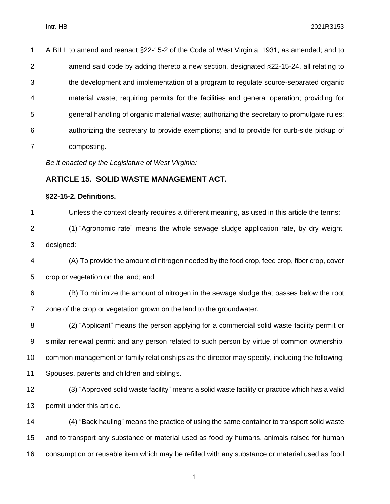| 1              | A BILL to amend and reenact §22-15-2 of the Code of West Virginia, 1931, as amended; and to |
|----------------|---------------------------------------------------------------------------------------------|
| $\overline{2}$ | amend said code by adding thereto a new section, designated §22-15-24, all relating to      |
| 3              | the development and implementation of a program to regulate source-separated organic        |
| 4              | material waste; requiring permits for the facilities and general operation; providing for   |
| 5              | general handling of organic material waste; authorizing the secretary to promulgate rules;  |
| 6              | authorizing the secretary to provide exemptions; and to provide for curb-side pickup of     |
| $\overline{7}$ | composting.                                                                                 |
|                | Be it enacted by the Legislature of West Virginia:                                          |
|                | <b>ARTICLE 15. SOLID WASTE MANAGEMENT ACT.</b>                                              |
|                | §22-15-2. Definitions.                                                                      |
| 1              | Unless the context clearly requires a different meaning, as used in this article the terms: |
| 2              | (1) "Agronomic rate" means the whole sewage sludge application rate, by dry weight,         |
| 3              | designed:                                                                                   |
| 4              | (A) To provide the amount of nitrogen needed by the food crop, feed crop, fiber crop, cover |
| 5              | crop or vegetation on the land; and                                                         |
| 6              | (B) To minimize the amount of nitrogen in the sewage sludge that passes below the root      |
| 7              | zone of the crop or vegetation grown on the land to the groundwater.                        |
| 8              | (2) "Applicant" means the person applying for a commercial solid waste facility permit or   |

similar renewal permit and any person related to such person by virtue of common ownership,

common management or family relationships as the director may specify, including the following:

- Spouses, parents and children and siblings.
- (3) "Approved solid waste facility" means a solid waste facility or practice which has a valid permit under this article.

 (4) "Back hauling" means the practice of using the same container to transport solid waste and to transport any substance or material used as food by humans, animals raised for human consumption or reusable item which may be refilled with any substance or material used as food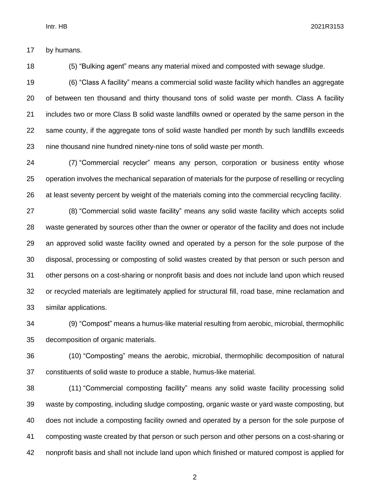by humans.

(5) "Bulking agent" means any material mixed and composted with sewage sludge.

 (6) "Class A facility" means a commercial solid waste facility which handles an aggregate of between ten thousand and thirty thousand tons of solid waste per month. Class A facility includes two or more Class B solid waste landfills owned or operated by the same person in the same county, if the aggregate tons of solid waste handled per month by such landfills exceeds nine thousand nine hundred ninety-nine tons of solid waste per month.

 (7) "Commercial recycler" means any person, corporation or business entity whose operation involves the mechanical separation of materials for the purpose of reselling or recycling at least seventy percent by weight of the materials coming into the commercial recycling facility.

 (8) "Commercial solid waste facility" means any solid waste facility which accepts solid waste generated by sources other than the owner or operator of the facility and does not include an approved solid waste facility owned and operated by a person for the sole purpose of the disposal, processing or composting of solid wastes created by that person or such person and other persons on a cost-sharing or nonprofit basis and does not include land upon which reused or recycled materials are legitimately applied for structural fill, road base, mine reclamation and similar applications.

 (9) "Compost" means a humus-like material resulting from aerobic, microbial, thermophilic decomposition of organic materials.

 (10) "Composting" means the aerobic, microbial, thermophilic decomposition of natural constituents of solid waste to produce a stable, humus-like material.

 (11) "Commercial composting facility" means any solid waste facility processing solid waste by composting, including sludge composting, organic waste or yard waste composting, but does not include a composting facility owned and operated by a person for the sole purpose of composting waste created by that person or such person and other persons on a cost-sharing or nonprofit basis and shall not include land upon which finished or matured compost is applied for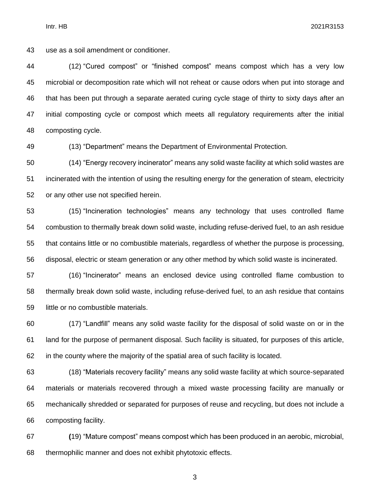Intr. HB 2021R3153

use as a soil amendment or conditioner.

 (12) "Cured compost" or "finished compost" means compost which has a very low microbial or decomposition rate which will not reheat or cause odors when put into storage and that has been put through a separate aerated curing cycle stage of thirty to sixty days after an initial composting cycle or compost which meets all regulatory requirements after the initial composting cycle.

(13) "Department" means the Department of Environmental Protection.

 (14) "Energy recovery incinerator" means any solid waste facility at which solid wastes are incinerated with the intention of using the resulting energy for the generation of steam, electricity or any other use not specified herein.

 (15) "Incineration technologies" means any technology that uses controlled flame combustion to thermally break down solid waste, including refuse-derived fuel, to an ash residue that contains little or no combustible materials, regardless of whether the purpose is processing, disposal, electric or steam generation or any other method by which solid waste is incinerated.

 (16) "Incinerator" means an enclosed device using controlled flame combustion to thermally break down solid waste, including refuse-derived fuel, to an ash residue that contains little or no combustible materials.

 (17) "Landfill" means any solid waste facility for the disposal of solid waste on or in the land for the purpose of permanent disposal. Such facility is situated, for purposes of this article, in the county where the majority of the spatial area of such facility is located.

 (18) "Materials recovery facility" means any solid waste facility at which source-separated materials or materials recovered through a mixed waste processing facility are manually or mechanically shredded or separated for purposes of reuse and recycling, but does not include a composting facility.

 **(**19) "Mature compost" means compost which has been produced in an aerobic, microbial, thermophilic manner and does not exhibit phytotoxic effects.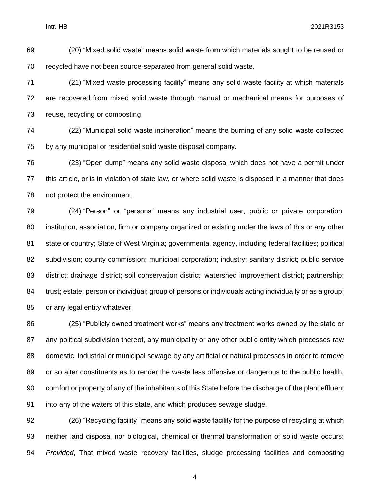Intr. HB 2021R3153

 (20) "Mixed solid waste" means solid waste from which materials sought to be reused or recycled have not been source-separated from general solid waste.

 (21) "Mixed waste processing facility" means any solid waste facility at which materials are recovered from mixed solid waste through manual or mechanical means for purposes of reuse, recycling or composting.

 (22) "Municipal solid waste incineration" means the burning of any solid waste collected by any municipal or residential solid waste disposal company.

 (23) "Open dump" means any solid waste disposal which does not have a permit under this article, or is in violation of state law, or where solid waste is disposed in a manner that does not protect the environment.

 (24) "Person" or "persons" means any industrial user, public or private corporation, institution, association, firm or company organized or existing under the laws of this or any other 81 state or country; State of West Virginia; governmental agency, including federal facilities; political subdivision; county commission; municipal corporation; industry; sanitary district; public service district; drainage district; soil conservation district; watershed improvement district; partnership; trust; estate; person or individual; group of persons or individuals acting individually or as a group; or any legal entity whatever.

 (25) "Publicly owned treatment works" means any treatment works owned by the state or any political subdivision thereof, any municipality or any other public entity which processes raw domestic, industrial or municipal sewage by any artificial or natural processes in order to remove or so alter constituents as to render the waste less offensive or dangerous to the public health, comfort or property of any of the inhabitants of this State before the discharge of the plant effluent into any of the waters of this state, and which produces sewage sludge.

 (26) "Recycling facility" means any solid waste facility for the purpose of recycling at which neither land disposal nor biological, chemical or thermal transformation of solid waste occurs: *Provided*, That mixed waste recovery facilities, sludge processing facilities and composting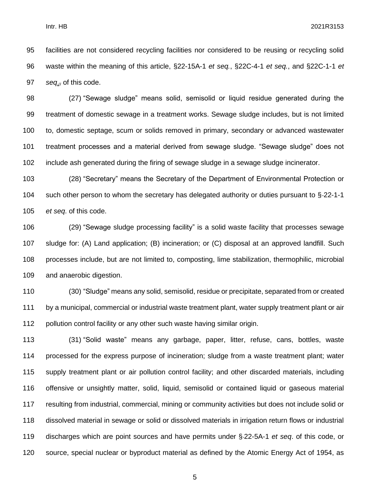facilities are not considered recycling facilities nor considered to be reusing or recycling solid waste within the meaning of this article, §22-15A-1 *et seq.*, §22C-4-1 *et seq.*, and §22C-1-1 *et seq*., of this code.

 (27) "Sewage sludge" means solid, semisolid or liquid residue generated during the treatment of domestic sewage in a treatment works. Sewage sludge includes, but is not limited to, domestic septage, scum or solids removed in primary, secondary or advanced wastewater treatment processes and a material derived from sewage sludge. "Sewage sludge" does not include ash generated during the firing of sewage sludge in a sewage sludge incinerator.

 (28) "Secretary" means the Secretary of the Department of Environmental Protection or such other person to whom the secretary has delegated authority or duties pursuant to § 22-1-1 *et seq*. of this code.

 (29) "Sewage sludge processing facility" is a solid waste facility that processes sewage sludge for: (A) Land application; (B) incineration; or (C) disposal at an approved landfill. Such processes include, but are not limited to, composting, lime stabilization, thermophilic, microbial and anaerobic digestion.

 (30) "Sludge" means any solid, semisolid, residue or precipitate, separated from or created by a municipal, commercial or industrial waste treatment plant, water supply treatment plant or air pollution control facility or any other such waste having similar origin.

 (31) "Solid waste" means any garbage, paper, litter, refuse, cans, bottles, waste processed for the express purpose of incineration; sludge from a waste treatment plant; water supply treatment plant or air pollution control facility; and other discarded materials, including offensive or unsightly matter, solid, liquid, semisolid or contained liquid or gaseous material resulting from industrial, commercial, mining or community activities but does not include solid or dissolved material in sewage or solid or dissolved materials in irrigation return flows or industrial discharges which are point sources and have permits under § 22-5A-1 *et seq*. of this code, or source, special nuclear or byproduct material as defined by the Atomic Energy Act of 1954, as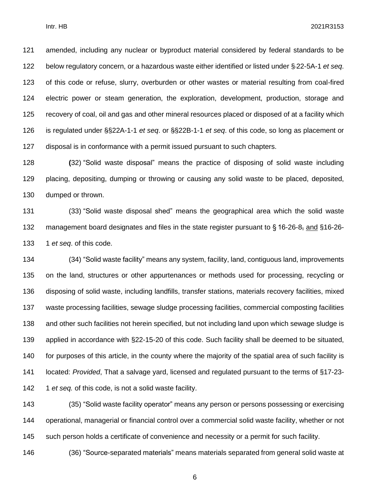amended, including any nuclear or byproduct material considered by federal standards to be below regulatory concern, or a hazardous waste either identified or listed under § 22-5A-1 *et seq*. of this code or refuse, slurry, overburden or other wastes or material resulting from coal-fired electric power or steam generation, the exploration, development, production, storage and recovery of coal, oil and gas and other mineral resources placed or disposed of at a facility which is regulated under §§22A-1-1 *et seq*. or §§22B-1-1 *et seq*. of this code, so long as placement or disposal is in conformance with a permit issued pursuant to such chapters.

 **(**32) "Solid waste disposal" means the practice of disposing of solid waste including placing, depositing, dumping or throwing or causing any solid waste to be placed, deposited, dumped or thrown.

 (33) "Solid waste disposal shed" means the geographical area which the solid waste 132 management board designates and files in the state register pursuant to § 16-26-8, and §16-26-1 *et seq*. of this code.

 (34) "Solid waste facility" means any system, facility, land, contiguous land, improvements on the land, structures or other appurtenances or methods used for processing, recycling or disposing of solid waste, including landfills, transfer stations, materials recovery facilities, mixed waste processing facilities, sewage sludge processing facilities, commercial composting facilities and other such facilities not herein specified, but not including land upon which sewage sludge is applied in accordance with §22-15-20 of this code. Such facility shall be deemed to be situated, for purposes of this article, in the county where the majority of the spatial area of such facility is located: *Provided*, That a salvage yard, licensed and regulated pursuant to the terms of §17-23- 1 *et seq.* of this code, is not a solid waste facility.

 (35) "Solid waste facility operator" means any person or persons possessing or exercising operational, managerial or financial control over a commercial solid waste facility, whether or not such person holds a certificate of convenience and necessity or a permit for such facility.

(36) "Source-separated materials" means materials separated from general solid waste at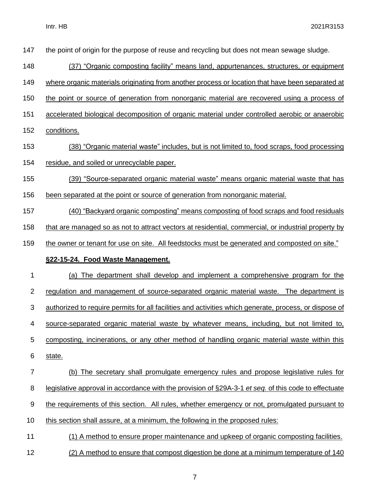| 147            | the point of origin for the purpose of reuse and recycling but does not mean sewage sludge.            |
|----------------|--------------------------------------------------------------------------------------------------------|
| 148            | (37) "Organic composting facility" means land, appurtenances, structures, or equipment                 |
| 149            | where organic materials originating from another process or location that have been separated at       |
| 150            | the point or source of generation from nonorganic material are recovered using a process of            |
| 151            | accelerated biological decomposition of organic material under controlled aerobic or anaerobic         |
| 152            | conditions.                                                                                            |
| 153            | (38) "Organic material waste" includes, but is not limited to, food scraps, food processing            |
| 154            | residue, and soiled or unrecyclable paper.                                                             |
| 155            | (39) "Source-separated organic material waste" means organic material waste that has                   |
| 156            | been separated at the point or source of generation from nonorganic material.                          |
| 157            | (40) "Backyard organic composting" means composting of food scraps and food residuals                  |
| 158            | that are managed so as not to attract vectors at residential, commercial, or industrial property by    |
| 159            | the owner or tenant for use on site. All feedstocks must be generated and composted on site."          |
|                |                                                                                                        |
|                | §22-15-24. Food Waste Management.                                                                      |
| 1              | (a) The department shall develop and implement a comprehensive program for the                         |
| $\overline{2}$ | regulation and management of source-separated organic material waste. The department is                |
| 3              | authorized to require permits for all facilities and activities which generate, process, or dispose of |
| 4              | source-separated organic material waste by whatever means, including, but not limited to,              |
| 5              | composting, incinerations, or any other method of handling organic material waste within this          |
| 6              | state.                                                                                                 |
| $\overline{7}$ | (b) The secretary shall promulgate emergency rules and propose legislative rules for                   |
| 8              | legislative approval in accordance with the provision of §29A-3-1 et seq. of this code to effectuate   |
| 9              | the requirements of this section. All rules, whether emergency or not, promulgated pursuant to         |
| 10             | this section shall assure, at a minimum, the following in the proposed rules:                          |
| 11             | (1) A method to ensure proper maintenance and upkeep of organic composting facilities.                 |